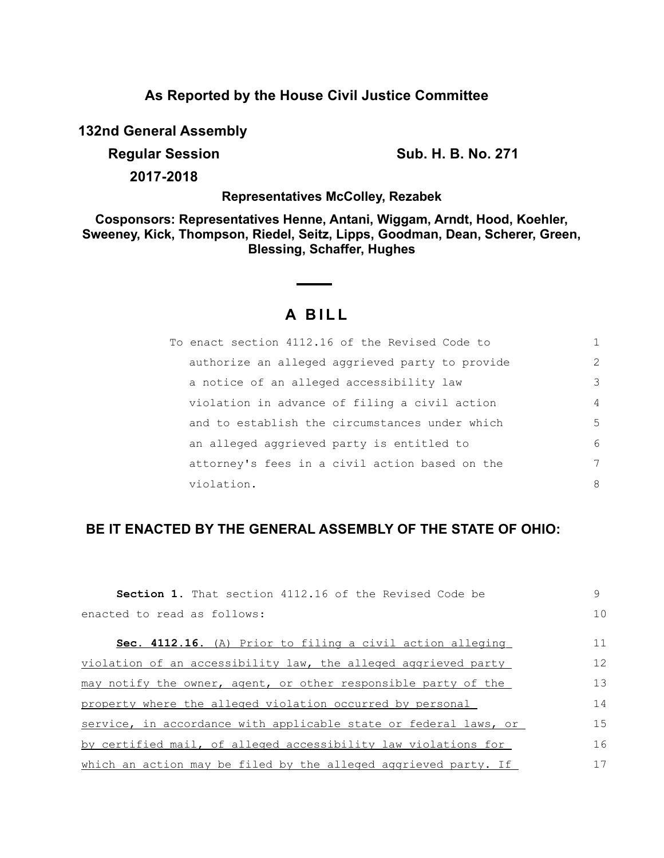### **As Reported by the House Civil Justice Committee**

**132nd General Assembly**

**Regular Session Sub. H. B. No. 271** 

**2017-2018**

**Representatives McColley, Rezabek**

**Cosponsors: Representatives Henne, Antani, Wiggam, Arndt, Hood, Koehler, Sweeney, Kick, Thompson, Riedel, Seitz, Lipps, Goodman, Dean, Scherer, Green, Blessing, Schaffer, Hughes**

# **A B I L L**

| To enact section 4112.16 of the Revised Code to |                |
|-------------------------------------------------|----------------|
| authorize an alleged aggrieved party to provide | $\mathcal{L}$  |
| a notice of an alleged accessibility law        | 3              |
| violation in advance of filing a civil action   | $\overline{4}$ |
| and to establish the circumstances under which  | 5              |
| an alleged aggrieved party is entitled to       | 6              |
| attorney's fees in a civil action based on the  | 7              |
| violation.                                      | 8              |

## **BE IT ENACTED BY THE GENERAL ASSEMBLY OF THE STATE OF OHIO:**

| <b>Section 1.</b> That section 4112.16 of the Revised Code be    | 9  |
|------------------------------------------------------------------|----|
| enacted to read as follows:                                      | 10 |
| <b>Sec. 4112.16.</b> (A) Prior to filing a civil action alleging | 11 |
| violation of an accessibility law, the alleged aggrieved party   | 12 |
| may notify the owner, agent, or other responsible party of the   | 13 |
| property where the alleged violation occurred by personal        | 14 |
| service, in accordance with applicable state or federal laws, or | 15 |
| by certified mail, of alleged accessibility law violations for   | 16 |
| which an action may be filed by the alleged aggrieved party. If  | 17 |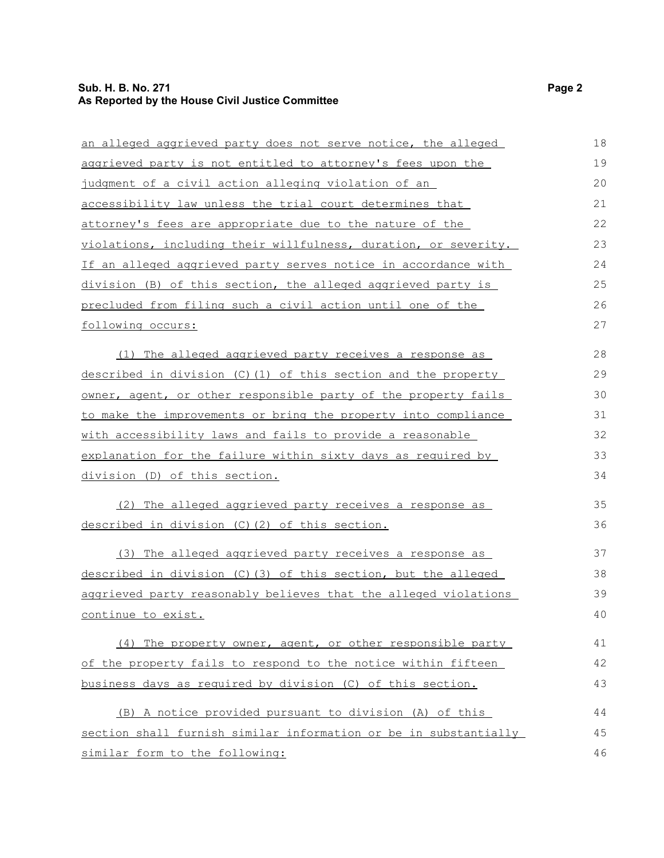| an alleged aggrieved party does not serve notice, the alleged    | 18 |
|------------------------------------------------------------------|----|
| aggrieved party is not entitled to attorney's fees upon the      | 19 |
| judgment of a civil action alleging violation of an              | 20 |
| accessibility law unless the trial court determines that         | 21 |
| attorney's fees are appropriate due to the nature of the         | 22 |
| violations, including their willfulness, duration, or severity.  | 23 |
| If an alleged aggrieved party serves notice in accordance with   | 24 |
| division (B) of this section, the alleged aggrieved party is     | 25 |
| precluded from filing such a civil action until one of the       | 26 |
| following occurs:                                                | 27 |
| (1) The alleged aggrieved party receives a response as           | 28 |
| described in division (C)(1) of this section and the property    | 29 |
| owner, agent, or other responsible party of the property fails   | 30 |
| to make the improvements or bring the property into compliance   | 31 |
| with accessibility laws and fails to provide a reasonable        | 32 |
| explanation for the failure within sixty days as required by     | 33 |
| division (D) of this section.                                    | 34 |
| (2) The alleged aggrieved party receives a response as           | 35 |
| described in division (C)(2) of this section.                    | 36 |
| (3) The alleged aggrieved party receives a response as           | 37 |
| described in division (C) (3) of this section, but the alleged   | 38 |
| aggrieved party reasonably believes that the alleged violations  | 39 |
| continue to exist.                                               | 40 |
| (4) The property owner, agent, or other responsible party        | 41 |
| of the property fails to respond to the notice within fifteen    | 42 |
| business days as required by division (C) of this section.       | 43 |
| (B) A notice provided pursuant to division (A) of this           | 44 |
| section shall furnish similar information or be in substantially | 45 |
| similar form to the following:                                   | 46 |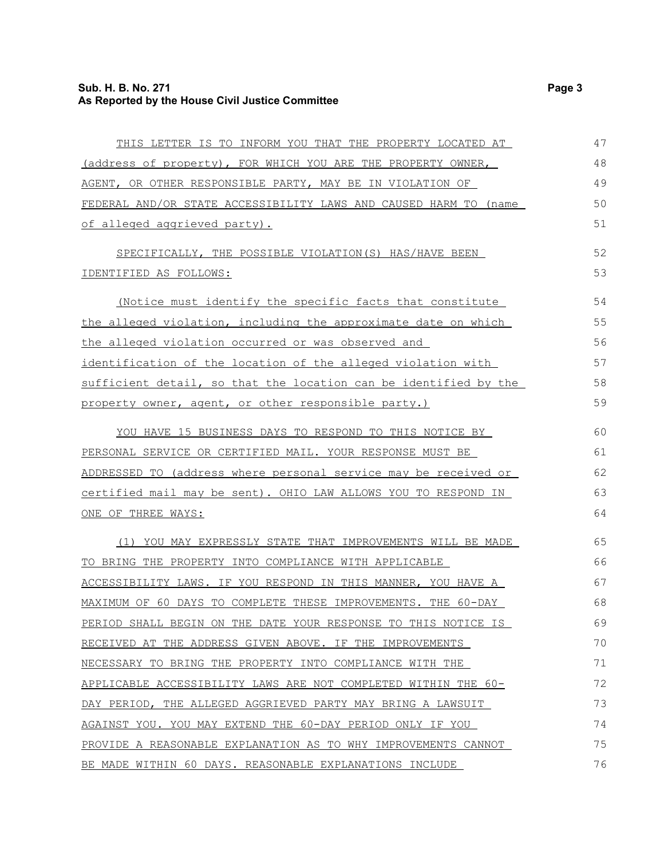#### **Sub. H. B. No. 271 Page 3 As Reported by the House Civil Justice Committee**

| THIS LETTER IS TO INFORM YOU THAT THE PROPERTY LOCATED AT        | 47 |
|------------------------------------------------------------------|----|
| (address of property), FOR WHICH YOU ARE THE PROPERTY OWNER,     | 48 |
| AGENT, OR OTHER RESPONSIBLE PARTY, MAY BE IN VIOLATION OF        | 49 |
| FEDERAL AND/OR STATE ACCESSIBILITY LAWS AND CAUSED HARM TO (name | 50 |
| of alleged aggrieved party).                                     | 51 |
| SPECIFICALLY, THE POSSIBLE VIOLATION (S) HAS/HAVE BEEN           | 52 |
| IDENTIFIED AS FOLLOWS:                                           | 53 |
| (Notice must identify the specific facts that constitute         | 54 |
| the alleged violation, including the approximate date on which   | 55 |
| the alleged violation occurred or was observed and               | 56 |
| identification of the location of the alleged violation with     | 57 |
| sufficient detail, so that the location can be identified by the | 58 |
| property owner, agent, or other responsible party.)              | 59 |
| YOU HAVE 15 BUSINESS DAYS TO RESPOND TO THIS NOTICE BY           | 60 |
| PERSONAL SERVICE OR CERTIFIED MAIL. YOUR RESPONSE MUST BE        | 61 |
| ADDRESSED TO (address where personal service may be received or  | 62 |
| certified mail may be sent). OHIO LAW ALLOWS YOU TO RESPOND IN   | 63 |
| ONE OF THREE WAYS:                                               | 64 |
| (1) YOU MAY EXPRESSLY STATE THAT IMPROVEMENTS WILL BE MADE       | 65 |
| TO BRING THE PROPERTY INTO COMPLIANCE WITH APPLICABLE            | 66 |
| ACCESSIBILITY LAWS. IF YOU RESPOND IN THIS MANNER, YOU HAVE A    | 67 |
| MAXIMUM OF 60 DAYS TO COMPLETE THESE IMPROVEMENTS. THE 60-DAY    | 68 |
| PERIOD SHALL BEGIN ON THE DATE YOUR RESPONSE TO THIS NOTICE IS   | 69 |
| RECEIVED AT THE ADDRESS GIVEN ABOVE. IF THE IMPROVEMENTS         | 70 |
| NECESSARY TO BRING THE PROPERTY INTO COMPLIANCE WITH THE         | 71 |
| APPLICABLE ACCESSIBILITY LAWS ARE NOT COMPLETED WITHIN THE 60-   | 72 |
| DAY PERIOD, THE ALLEGED AGGRIEVED PARTY MAY BRING A LAWSUIT      | 73 |
| AGAINST YOU. YOU MAY EXTEND THE 60-DAY PERIOD ONLY IF YOU        | 74 |
| PROVIDE A REASONABLE EXPLANATION AS TO WHY IMPROVEMENTS CANNOT   | 75 |
| BE MADE WITHIN 60 DAYS. REASONABLE EXPLANATIONS INCLUDE          | 76 |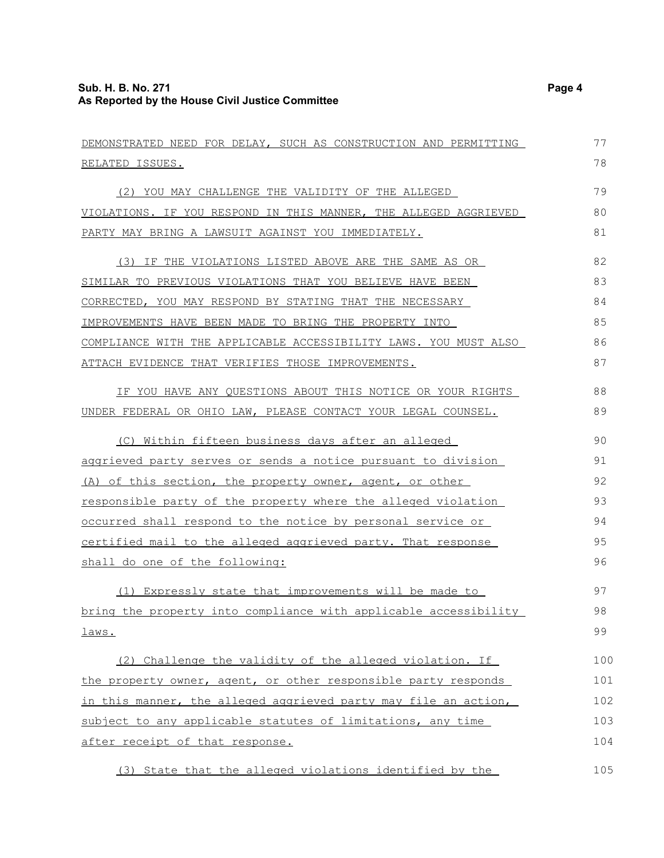| DEMONSTRATED NEED FOR DELAY, SUCH AS CONSTRUCTION AND PERMITTING | 77  |
|------------------------------------------------------------------|-----|
| RELATED ISSUES.                                                  | 78  |
| (2) YOU MAY CHALLENGE THE VALIDITY OF THE ALLEGED                | 79  |
| VIOLATIONS. IF YOU RESPOND IN THIS MANNER, THE ALLEGED AGGRIEVED | 80  |
| PARTY MAY BRING A LAWSUIT AGAINST YOU IMMEDIATELY.               | 81  |
| (3) IF THE VIOLATIONS LISTED ABOVE ARE THE SAME AS OR            | 82  |
| SIMILAR TO PREVIOUS VIOLATIONS THAT YOU BELIEVE HAVE BEEN        | 83  |
| CORRECTED, YOU MAY RESPOND BY STATING THAT THE NECESSARY         | 84  |
| IMPROVEMENTS HAVE BEEN MADE TO BRING THE PROPERTY INTO           | 85  |
| COMPLIANCE WITH THE APPLICABLE ACCESSIBILITY LAWS. YOU MUST ALSO | 86  |
| ATTACH EVIDENCE THAT VERIFIES THOSE IMPROVEMENTS.                | 87  |
| IF YOU HAVE ANY QUESTIONS ABOUT THIS NOTICE OR YOUR RIGHTS       | 88  |
| UNDER FEDERAL OR OHIO LAW, PLEASE CONTACT YOUR LEGAL COUNSEL.    | 89  |
| (C) Within fifteen business days after an alleged                | 90  |
| aggrieved party serves or sends a notice pursuant to division    | 91  |
| (A) of this section, the property owner, agent, or other         | 92  |
| responsible party of the property where the alleged violation    | 93  |
| occurred shall respond to the notice by personal service or      | 94  |
| certified mail to the alleged aggrieved party. That response     | 95  |
| shall do one of the following:                                   | 96  |
| (1) Expressly state that improvements will be made to            | 97  |
| bring the property into compliance with applicable accessibility | 98  |
| laws.                                                            | 99  |
| (2) Challenge the validity of the alleged violation. If          | 100 |
| the property owner, agent, or other responsible party responds   | 101 |
| in this manner, the alleged aggrieved party may file an action,  | 102 |
| subject to any applicable statutes of limitations, any time      | 103 |
| after receipt of that response.                                  | 104 |
| (3) State that the alleged violations identified by the          | 105 |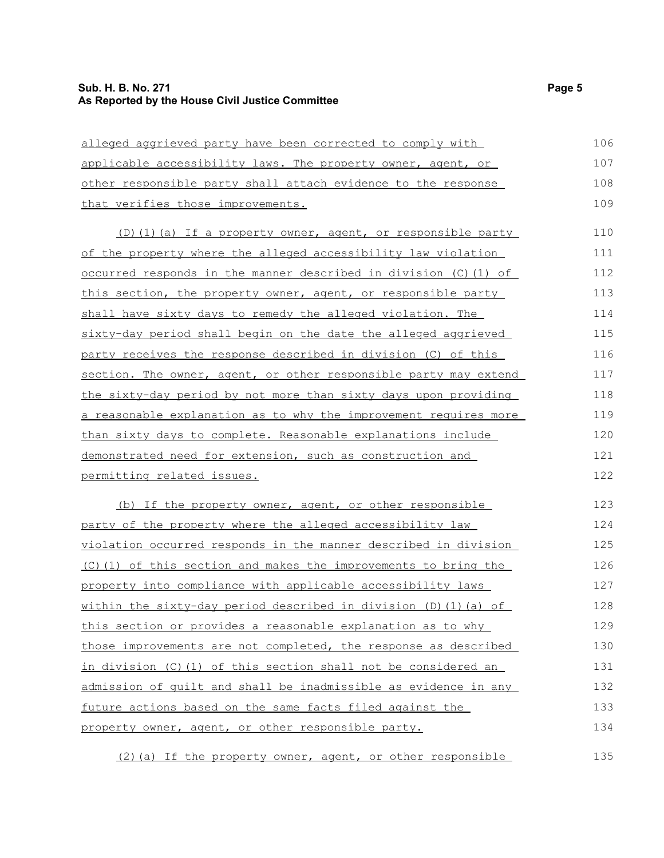#### **Sub. H. B. No. 271 Page 5 As Reported by the House Civil Justice Committee**

| alleged aggrieved party have been corrected to comply with             | 106 |
|------------------------------------------------------------------------|-----|
| applicable accessibility laws. The property owner, agent, or           | 107 |
| other responsible party shall attach evidence to the response          | 108 |
| that verifies those improvements.                                      | 109 |
| (D)(1)(a) If a property owner, agent, or responsible party             | 110 |
| of the property where the alleged accessibility law violation          | 111 |
| <u>occurred responds in the manner described in division (C)(1) of</u> | 112 |
| <u>this section, the property owner, agent, or responsible party</u>   | 113 |
| shall have sixty days to remedy the alleged violation. The             | 114 |
| sixty-day period shall begin on the date the alleged aggrieved         | 115 |
| party receives the response described in division (C) of this          | 116 |
| section. The owner, agent, or other responsible party may extend       | 117 |
| the sixty-day period by not more than sixty days upon providing        | 118 |
| a reasonable explanation as to why the improvement requires more       | 119 |
| than sixty days to complete. Reasonable explanations include           | 120 |
| demonstrated need for extension, such as construction and              | 121 |
| permitting related issues.                                             | 122 |
| (b) If the property owner, agent, or other responsible                 | 123 |
| party of the property where the alleged accessibility law              | 124 |
| violation occurred responds in the manner described in division        | 125 |
| (C)(1) of this section and makes the improvements to bring the         | 126 |
| property into compliance with applicable accessibility laws            | 127 |
| <u>within the sixty-day period described in division (D)(1)(a) of</u>  | 128 |
| this section or provides a reasonable explanation as to why            | 129 |
| those improvements are not completed, the response as described        | 130 |
| in division (C) (1) of this section shall not be considered an         | 131 |
| admission of quilt and shall be inadmissible as evidence in any        | 132 |
| future actions based on the same facts filed against the               | 133 |
| property owner, agent, or other responsible party.                     | 134 |
| (2) (a) If the property owner, agent, or other responsible             | 135 |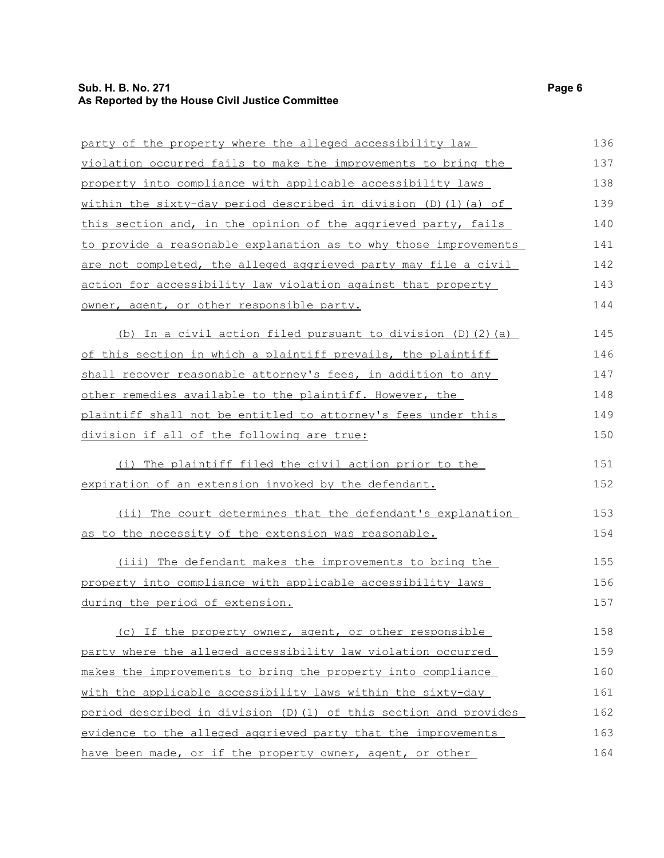#### **Sub. H. B. No. 271 Page 6 As Reported by the House Civil Justice Committee**

| party of the property where the alleged accessibility law         | 136 |
|-------------------------------------------------------------------|-----|
| violation occurred fails to make the improvements to bring the    | 137 |
| property into compliance with applicable accessibility laws       | 138 |
| within the sixty-day period described in division (D)(1)(a) of    | 139 |
| this section and, in the opinion of the aggrieved party, fails    | 140 |
| to provide a reasonable explanation as to why those improvements  | 141 |
| are not completed, the alleged aggrieved party may file a civil   | 142 |
| action for accessibility law violation against that property      | 143 |
| owner, agent, or other responsible party.                         | 144 |
| (b) In a civil action filed pursuant to division (D) (2) (a)      | 145 |
| of this section in which a plaintiff prevails, the plaintiff      | 146 |
| shall recover reasonable attorney's fees, in addition to any      | 147 |
| other remedies available to the plaintiff. However, the           | 148 |
| plaintiff shall not be entitled to attorney's fees under this     | 149 |
| division if all of the following are true:                        | 150 |
| (i) The plaintiff filed the civil action prior to the             | 151 |
| expiration of an extension invoked by the defendant.              | 152 |
| (ii) The court determines that the defendant's explanation        | 153 |
| as to the necessity of the extension was reasonable.              | 154 |
| (iii) The defendant makes the improvements to bring the           | 155 |
| property into compliance with applicable accessibility laws       | 156 |
| during the period of extension.                                   | 157 |
| (c) If the property owner, agent, or other responsible            | 158 |
| party where the alleged accessibility law violation occurred      | 159 |
| makes the improvements to bring the property into compliance      | 160 |
| with the applicable accessibility laws within the sixty-day       | 161 |
| period described in division (D) (1) of this section and provides | 162 |
| evidence to the alleged aggrieved party that the improvements     | 163 |
| have been made, or if the property owner, agent, or other         | 164 |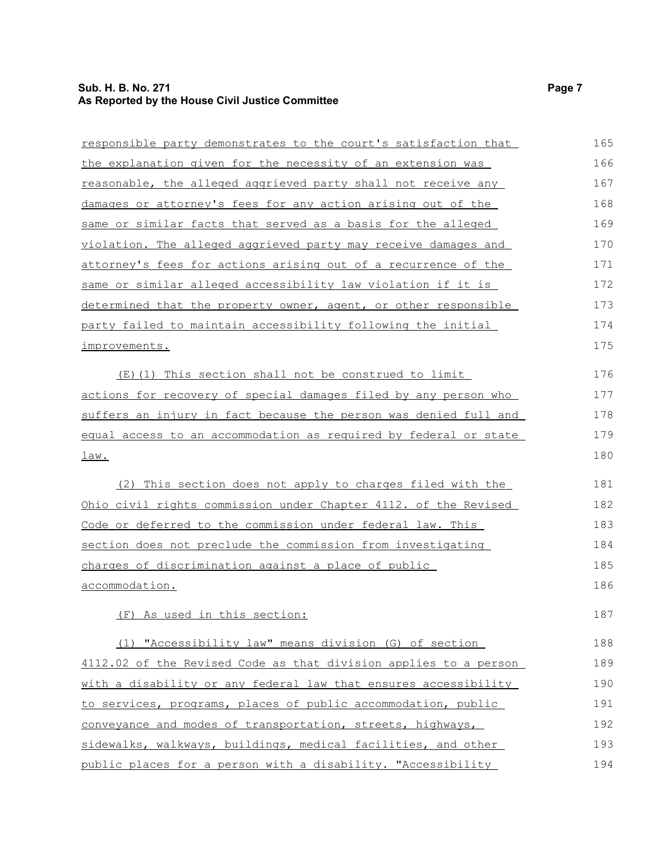#### **Sub. H. B. No. 271 Page 7 As Reported by the House Civil Justice Committee**

| responsible party demonstrates to the court's satisfaction that  | 165 |
|------------------------------------------------------------------|-----|
| the explanation given for the necessity of an extension was      | 166 |
| reasonable, the alleged aggrieved party shall not receive any    | 167 |
| damages or attorney's fees for any action arising out of the     | 168 |
| same or similar facts that served as a basis for the alleged     | 169 |
| violation. The alleged aggrieved party may receive damages and   | 170 |
| attorney's fees for actions arising out of a recurrence of the   | 171 |
| same or similar alleged accessibility law violation if it is     | 172 |
| determined that the property owner, agent, or other responsible  | 173 |
| party failed to maintain accessibility following the initial     | 174 |
| improvements.                                                    | 175 |
| (E)(1) This section shall not be construed to limit              | 176 |
| actions for recovery of special damages filed by any person who  | 177 |
| suffers an injury in fact because the person was denied full and | 178 |
| equal access to an accommodation as required by federal or state | 179 |
| law.                                                             | 180 |
| (2) This section does not apply to charges filed with the        | 181 |
| Ohio civil rights commission under Chapter 4112. of the Revised  | 182 |
| Code or deferred to the commission under federal law. This       | 183 |
| section does not preclude the commission from investigating      | 184 |
| charges of discrimination against a place of public              | 185 |
| <u>accommodation.</u>                                            | 186 |
| (F) As used in this section:                                     | 187 |
| (1) "Accessibility law" means division (G) of section            | 188 |
| 4112.02 of the Revised Code as that division applies to a person | 189 |
| with a disability or any federal law that ensures accessibility  | 190 |
| to services, programs, places of public accommodation, public    | 191 |
| conveyance and modes of transportation, streets, highways,       | 192 |
| sidewalks, walkways, buildings, medical facilities, and other    | 193 |
| public places for a person with a disability. "Accessibility     | 194 |